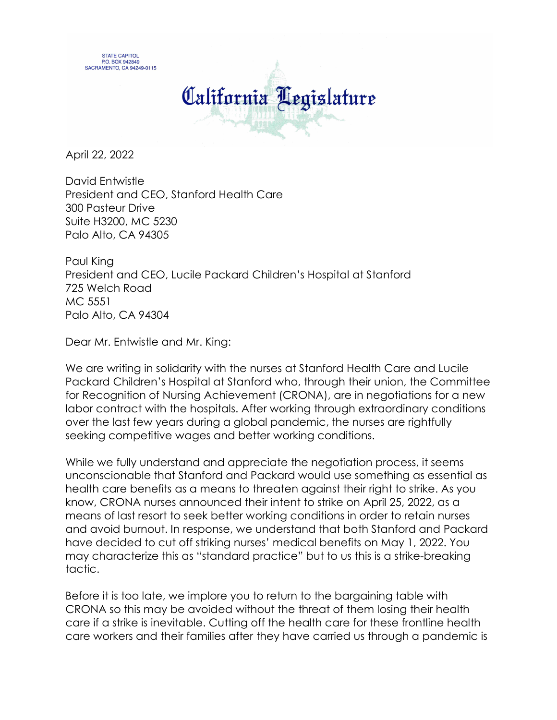



April 22, 2022

David Entwistle President and CEO, Stanford Health Care 300 Pasteur Drive Suite H3200, MC 5230 Palo Alto, CA 94305

Paul King President and CEO, Lucile Packard Children's Hospital at Stanford 725 Welch Road MC 5551 Palo Alto, CA 94304

Dear Mr. Entwistle and Mr. King:

We are writing in solidarity with the nurses at Stanford Health Care and Lucile Packard Children's Hospital at Stanford who, through their union, the Committee for Recognition of Nursing Achievement (CRONA), are in negotiations for a new labor contract with the hospitals. After working through extraordinary conditions over the last few years during a global pandemic, the nurses are rightfully seeking competitive wages and better working conditions.

While we fully understand and appreciate the negotiation process, it seems unconscionable that Stanford and Packard would use something as essential as health care benefits as a means to threaten against their right to strike. As you know, CRONA nurses announced their intent to strike on April 25, 2022, as a means of last resort to seek better working conditions in order to retain nurses and avoid burnout. In response, we understand that both Stanford and Packard have decided to cut off striking nurses' medical benefits on May 1, 2022. You may characterize this as "standard practice" but to us this is a strike-breaking tactic.

Before it is too late, we implore you to return to the bargaining table with CRONA so this may be avoided without the threat of them losing their health care if a strike is inevitable. Cutting off the health care for these frontline health care workers and their families after they have carried us through a pandemic is